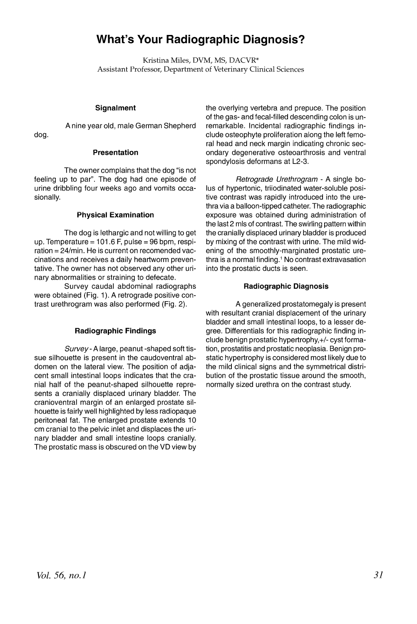## **What's Your Radiographic Diagnosis?**

Kristina Miles, DVM, MS, DACVR\* Assistant Professor, Department of Veterinary Clinical Sciences

The owner complains that the dog "is not feeling up to par". The dog had one episode of urine dribbling four weeks ago and vomits occasionally.

### **Physical Examination**

The dog is lethargic and not willing to get up. Temperature =  $101.6$  F, pulse = 96 bpm, respi $rational = 24/min$ . He is current on recomended vaccinations and receives a daily heartworm preventative. The owner has not observed any other urinary abnormalities or straining to defecate.

Survey caudal abdominal radiographs were obtained (Fig. 1). A retrograde positive contrast urethrogram was also performed (Fig. 2).

### **Radiographic Findings**

Survey - A large, peanut -shaped soft tissue silhouette is present in the caudoventral abdomen on the lateral view. The position of adjacent small intestinal loops indicates that the cranial half of the peanut-shaped silhouette represents a cranially displaced urinary bladder. The cranioventral margin of an enlarged prostate silhouette is fairly well highlighted by less radiopaque peritoneal fat. The enlarged prostate extends 10 cm cranial to the pelvic inlet and displaces the urinary bladder and small intestine loops cranially. The prostatic mass is obscured on the VD view by

**Signalment the overlying vertebra and prepuce.** The position of the gas- and fecal-filled descending colon is un-A nine year old, male German Shepherd remarkable. Incidental radiographic findings indog. clude osteophyte proliferation along the left femoral head and neck margin indicating chronic sec-**Presentation biggerian** ondary degenerative osteoarthrosis and ventral spondylosis deformans at L2-3.

> Retrograde Urethrogram - A single bolus of hypertonic, triiodinated water-soluble positive contrast was rapidly introduced into the urethra via a balloon-tipped catheter. The radiographic exposure was obtained during administration of the last 2 mls of contrast. The swirling pattern within the cranially displaced urinary bladder is produced by mixing of the contrast with urine. The mild widening of the smoothly-marginated prostatic urethra is a normal finding.<sup>1</sup> No contrast extravasation into the prostatic ducts is seen.

### **Radiographic Diagnosis**

A generalized prostatomegaly is present with resultant cranial displacement of the urinary bladder and small intestinal loops, to a lesser degree. Differentials for this radiographic finding include benign prostatic hypertrophy,+/- cyst formation, prostatitis and prostatic neoplasia. Benign prostatic hypertrophy is considered most likely due to the mild clinical signs and the symmetrical distribution of the prostatic tissue around the smooth, normally sized urethra on the contrast study.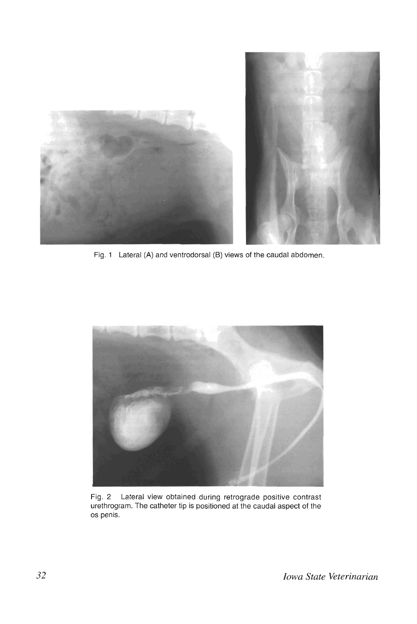

Fig. 1 Lateral (A) and ventrodorsal (8) views of the caudal abdomen.



Fig. 2 Lateral view obtained during retrograde positive contrast urethrogram. The catheter tip is positioned at the caudal aspect of the os penis.